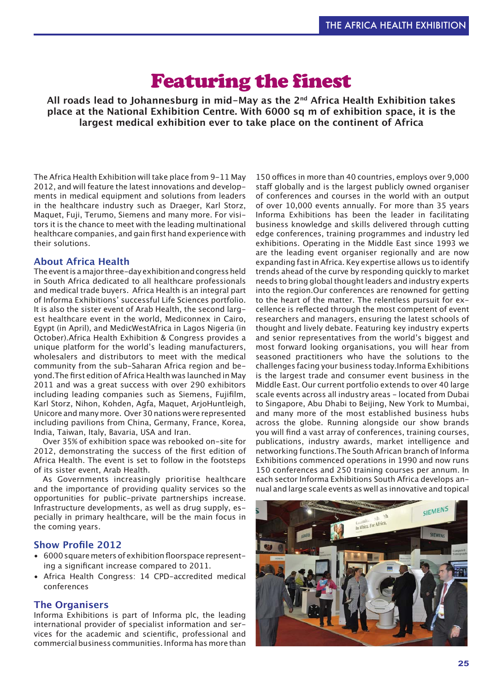# Featuring the finest

**All roads lead to Johannesburg in mid-May as the 2nd Africa Health Exhibition takes place at the National Exhibition Centre. With 6000 sq m of exhibition space, it is the largest medical exhibition ever to take place on the continent of Africa**

The Africa Health Exhibition will take place from 9-11 May 2012, and will feature the latest innovations and developments in medical equipment and solutions from leaders in the healthcare industry such as Draeger, Karl Storz, Maquet, Fuji, Terumo, Siemens and many more. For visitors it is the chance to meet with the leading multinational healthcare companies, and gain first hand experience with their solutions.

# **About Africa Health**

The event is a major three-day exhibition and congress held in South Africa dedicated to all healthcare professionals and medical trade buyers. Africa Health is an integral part of Informa Exhibitions' successful Life Sciences portfolio. It is also the sister event of Arab Health, the second largest healthcare event in the world, Mediconnex in Cairo, Egypt (in April), and MedicWestAfrica in Lagos Nigeria (in October).
Africa Health Exhibition & Congress provides a unique platform for the world's leading manufacturers, wholesalers and distributors to meet with the medical community from the sub-Saharan Africa region and beyond.
The first edition of Africa Health was launched in May 2011 and was a great success with over 290 exhibitors including leading companies such as Siemens, Fujifilm, Karl Storz, Nihon, Kohden, Agfa, Maquet, ArjoHuntleigh, Unicore and many more. Over 30 nations were represented including pavilions from China, Germany, France, Korea, India, Taiwan, Italy, Bavaria, USA and Iran.

Over 35% of exhibition space was rebooked on-site for 2012, demonstrating the success of the first edition of Africa Health. The event is set to follow in the footsteps of its sister event, Arab Health.

As Governments increasingly prioritise healthcare and the importance of providing quality services so the opportunities for public-private partnerships increase. Infrastructure developments, as well as drug supply, especially in primary healthcare, will be the main focus in the coming years.

# **Show Profile 2012**

- 6000 square meters of exhibition floorspace representing a significant increase compared to 2011.
- Africa Health Congress: 14 CPD-accredited medical conferences

# **The Organisers**

Informa Exhibitions is part of Informa plc, the leading international provider of specialist information and services for the academic and scientific, professional and commercial business communities. Informa has more than

150 offices in more than 40 countries, employs over 9,000 staff globally and is the largest publicly owned organiser of conferences and courses in the world with an output of over 10,000 events annually.
 For more than 35 years Informa Exhibitions has been the leader in facilitating business knowledge and skills delivered through cutting edge conferences, training programmes and industry led exhibitions.
 Operating in the Middle East since 1993 we are the leading event organiser regionally and are now expanding fast in Africa. Key expertise allows us to identify trends ahead of the curve by responding quickly to market needs to bring global thought leaders and industry experts into the region.
Our conferences are renowned for getting to the heart of the matter. The relentless pursuit for excellence is reflected through the most competent of event researchers and managers, ensuring the latest schools of thought and lively debate. Featuring key industry experts and senior representatives from the world's biggest and most forward looking organisations, you will hear from seasoned practitioners who have the solutions to the challenges facing your business today.
Informa Exhibitions is the largest trade and consumer event business in the Middle East. Our current portfolio extends to over 40 large scale events across all industry areas - located from Dubai to Singapore, Abu Dhabi to Beijing, New York to Mumbai, and many more of the most established business hubs across the globe. Running alongside our show brands you will find a vast array of conferences, training courses, publications, industry awards, market intelligence and networking functions.
The South African branch of Informa Exhibitions commenced operations in 1990 and now runs 150 conferences and 250 training courses per annum. In each sector Informa Exhibitions South Africa develops annual and large scale events as well as innovative and topical

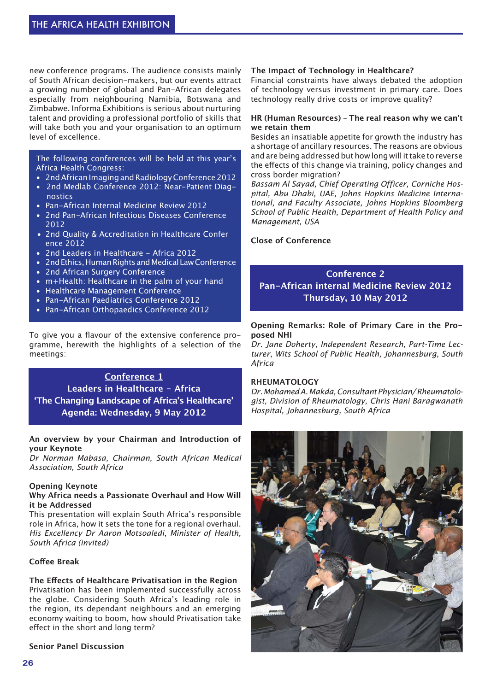new conference programs. The audience consists mainly of South African decision-makers, but our events attract a growing number of global and Pan-African delegates especially from neighbouring Namibia, Botswana and Zimbabwe.
 Informa Exhibitions is serious about nurturing talent and providing a professional portfolio of skills that will take both you and your organisation to an optimum level of excellence.

# The following conferences will be held at this year's Africa Health Congress:

- 2nd African Imaging and Radiology Conference 2012<br>• 2nd Medlab Conference 2012: Near-Patient Diag-
- 2nd Medlab Conference 2012: Near-Patient Diagnostics
- Pan-African Internal Medicine Review 2012
- 2nd Pan-African Infectious Diseases Conference 2012
- 2nd Quality & Accreditation in Healthcare Confer ence 2012
- 2nd Leaders in Healthcare Africa 2012
- 2nd Ethics, Human Rights and Medical Law Conference
- 2nd African Surgery Conference
- m+Health: Healthcare in the palm of your hand<br>• Healthcare Management Conference
- Healthcare Management Conference
- Pan-African Paediatrics Conference 2012
- Pan-African Orthopaedics Conference 2012

To give you a flavour of the extensive conference programme, herewith the highlights of a selection of the meetings:

# **Conference 1 Leaders in Healthcare - Africa 'The Changing Landscape of Africa's Healthcare' Agenda: Wednesday, 9 May 2012**

# **An overview by your Chairman and Introduction of your Keynote**

*Dr Norman Mabasa, Chairman, South African Medical Association, South Africa*

# **Opening Keynote**

# **Why Africa needs a Passionate Overhaul and How Will it be Addressed**

This presentation will explain South Africa's responsible role in Africa, how it sets the tone for a regional overhaul. *His Excellency Dr Aaron Motsoaledi, Minister of Health, South Africa (invited)*

# **Coffee Break**

# **The Effects of Healthcare Privatisation in the Region**

Privatisation has been implemented successfully across the globe. Considering South Africa's leading role in the region, its dependant neighbours and an emerging economy waiting to boom, how should Privatisation take effect in the short and long term?

**Senior Panel Discussion**

# **The Impact of Technology in Healthcare?**

Financial constraints have always debated the adoption of technology versus investment in primary care. Does technology really drive costs or improve quality?

# **HR (Human Resources) – The real reason why we can't we retain them**

Besides an insatiable appetite for growth the industry has a shortage of ancillary resources. The reasons are obvious and are being addressed but how long will it take to reverse the effects of this change via training, policy changes and cross border migration?

*Bassam Al Sayad, Chief Operating Officer, Corniche Hospital, Abu Dhabi, UAE, Johns Hopkins Medicine International, and Faculty Associate, Johns Hopkins Bloomberg School of Public Health, Department of Health Policy and Management, USA*

# **Close of Conference**

# **Conference 2 Pan-African internal Medicine Review 2012 Thursday, 10 May 2012**

# **Opening Remarks: Role of Primary Care in the Proposed NHI**

*Dr. Jane Doherty, Independent Research, Part-Time Lecturer, Wits School of Public Health, Johannesburg, South Africa*

# **RHEUMATOLOGY**

*Dr. Mohamed A. Makda, Consultant Physician/ Rheumatologist, Division of Rheumatology, Chris Hani Baragwanath Hospital, Johannesburg, South Africa*

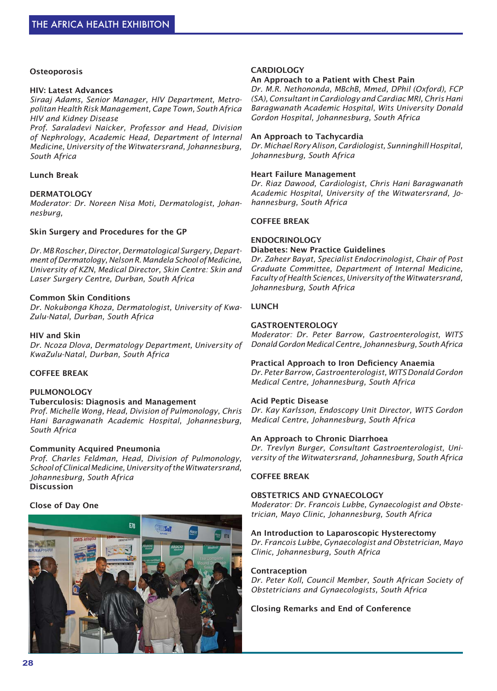# **Osteoporosis**

#### **HIV: Latest Advances**

*Siraaj Adams, Senior Manager, HIV Department, Metropolitan Health Risk Management, Cape Town, South Africa HIV and Kidney Disease*

*Prof. Saraladevi Naicker, Professor and Head, Division of Nephrology, Academic Head, Department of Internal Medicine, University of the Witwatersrand, Johannesburg, South Africa*

# **Lunch Break**

# **DERMATOLOGY**

*Moderator: Dr. Noreen Nisa Moti, Dermatologist, Johannesburg,*

#### **Skin Surgery and Procedures for the GP**

*Dr. MB Roscher, Director, Dermatological Surgery, Department of Dermatology, Nelson R. Mandela School of Medicine, University of KZN, Medical Director, Skin Centre: Skin and Laser Surgery Centre, Durban, South Africa*

# **Common Skin Conditions**

*Dr. Nokubonga Khoza, Dermatologist, University of Kwa-Zulu-Natal, Durban, South Africa*

#### **HIV and Skin**

*Dr. Ncoza Dlova, Dermatology Department, University of KwaZulu-Natal, Durban, South Africa*

# **COFFEE BREAK**

#### **PULMONOLOGY**

# **Tuberculosis: Diagnosis and Management**

*Prof. Michelle Wong, Head, Division of Pulmonology, Chris Hani Baragwanath Academic Hospital, Johannesburg, South Africa*

#### **Community Acquired Pneumonia**

*Prof. Charles Feldman, Head, Division of Pulmonology, School of Clinical Medicine, University of the Witwatersrand, Johannesburg, South Africa* **Discussion** 

# **Close of Day One**



# **CARDIOLOGY**

# **An Approach to a Patient with Chest Pain**

*Dr. M.R. Nethononda, MBchB, Mmed, DPhil (Oxford), FCP (SA), Consultant in Cardiology and Cardiac MRI, Chris Hani Baragwanath Academic Hospital, Wits University Donald Gordon Hospital, Johannesburg, South Africa*

# **An Approach to Tachycardia**

*Dr. Michael Rory Alison, Cardiologist, Sunninghill Hospital, Johannesburg, South Africa*

#### **Heart Failure Management**

*Dr. Riaz Dawood, Cardiologist, Chris Hani Baragwanath Academic Hospital, University of the Witwatersrand, Johannesburg, South Africa*

# **COFFEE BREAK**

#### **ENDOCRINOLOGY**

# **Diabetes: New Practice Guidelines**

*Dr. Zaheer Bayat, Specialist Endocrinologist, Chair of Post Graduate Committee, Department of Internal Medicine, Faculty of Health Sciences, University of the Witwatersrand, Johannesburg, South Africa*

# **LUNCH**

#### **GASTROENTEROLOGY**

*Moderator: Dr. Peter Barrow, Gastroenterologist, WITS Donald Gordon Medical Centre, Johannesburg, South Africa*

#### **Practical Approach to Iron Deficiency Anaemia**

*Dr. Peter Barrow, Gastroenterologist, WITS Donald Gordon Medical Centre, Johannesburg, South Africa*

#### **Acid Peptic Disease**

*Dr. Kay Karlsson, Endoscopy Unit Director, WITS Gordon Medical Centre, Johannesburg, South Africa*

# **An Approach to Chronic Diarrhoea**

*Dr. Trevlyn Burger, Consultant Gastroenterologist, University of the Witwatersrand, Johannesburg, South Africa*

#### **COFFEE BREAK**

# **OBSTETRICS AND GYNAECOLOGY**

*Moderator: Dr. Francois Lubbe, Gynaecologist and Obstetrician, Mayo Clinic, Johannesburg, South Africa*

#### **An Introduction to Laparoscopic Hysterectomy**

*Dr. Francois Lubbe, Gynaecologist and Obstetrician, Mayo Clinic, Johannesburg, South Africa*

#### **Contraception**

*Dr. Peter Koll, Council Member, South African Society of Obstetricians and Gynaecologists, South Africa*

**Closing Remarks and End of Conference**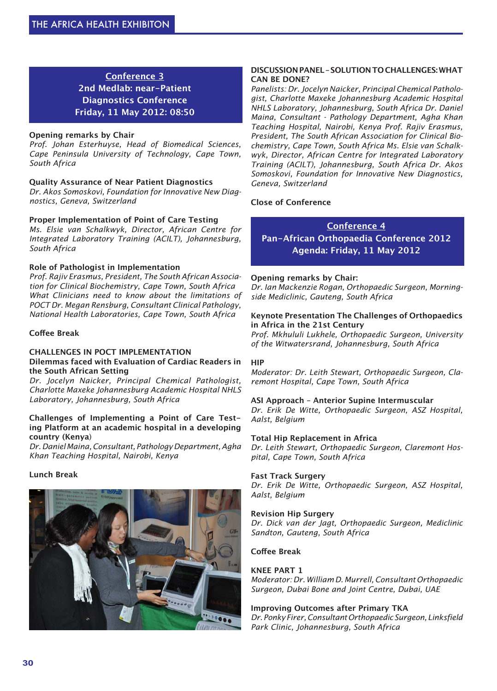# **Conference 3 2nd Medlab: near-Patient Diagnostics Conference Friday, 11 May 2012: 08:50**

# **Opening remarks by Chair**

*Prof. Johan Esterhuyse, Head of Biomedical Sciences, Cape Peninsula University of Technology, Cape Town, South Africa*

# **Quality Assurance of Near Patient Diagnostics**

*Dr. Akos Somoskovi, Foundation for Innovative New Diagnostics, Geneva, Switzerland*

# **Proper Implementation of Point of Care Testing**

*Ms. Elsie van Schalkwyk, Director, African Centre for Integrated Laboratory Training (ACILT), Johannesburg, South Africa*

# **Role of Pathologist in Implementation**

*Prof. Rajiv Erasmus, President, The South African Association for Clinical Biochemistry, Cape Town, South Africa What Clinicians need to know about the limitations of POCT Dr. Megan Rensburg, Consultant Clinical Pathology, National Health Laboratories, Cape Town, South Africa*

# **Coffee Break**

#### **CHALLENGES IN POCT IMPLEMENTATION Dilemmas faced with Evaluation of Cardiac Readers in the South African Setting**

*Dr. Jocelyn Naicker, Principal Chemical Pathologist, Charlotte Maxeke Johannesburg Academic Hospital NHLS Laboratory, Johannesburg, South Africa*

# **Challenges of Implementing a Point of Care Testing Platform at an academic hospital in a developing country (Kenya**)

*Dr. Daniel Maina, Consultant, Pathology Department, Agha Khan Teaching Hospital, Nairobi, Kenya*

#### **Lunch Break**



# **DISCUSSION PANEL – SOLUTION TO CHALLENGES: WHAT CAN BE DONE?**

*Panelists: Dr. Jocelyn Naicker, Principal Chemical Pathologist, Charlotte Maxeke Johannesburg Academic Hospital NHLS Laboratory, Johannesburg, South Africa Dr. Daniel Maina, Consultant - Pathology Department, Agha Khan Teaching Hospital, Nairobi, Kenya Prof. Rajiv Erasmus, President, The South African Association for Clinical Biochemistry, Cape Town, South Africa Ms. Elsie van Schalkwyk, Director, African Centre for Integrated Laboratory Training (ACILT), Johannesburg, South Africa Dr. Akos Somoskovi, Foundation for Innovative New Diagnostics, Geneva, Switzerland*

# **Close of Conference**

**Conference 4 Pan-African Orthopaedia Conference 2012 Agenda: Friday, 11 May 2012**

# **Opening remarks by Chair:**

*Dr. Ian Mackenzie Rogan, Orthopaedic Surgeon, Morningside Mediclinic, Gauteng, South Africa*

#### **Keynote Presentation The Challenges of Orthopaedics in Africa in the 21st Century**

*Prof. Mkhululi Lukhele, Orthopaedic Surgeon, University of the Witwatersrand, Johannesburg, South Africa*

#### **HIP**

*Moderator: Dr. Leith Stewart, Orthopaedic Surgeon, Claremont Hospital, Cape Town, South Africa*

#### **ASI Approach – Anterior Supine Intermuscular**

*Dr. Erik De Witte, Orthopaedic Surgeon, ASZ Hospital, Aalst, Belgium*

# **Total Hip Replacement in Africa**

*Dr. Leith Stewart, Orthopaedic Surgeon, Claremont Hospital, Cape Town, South Africa*

#### **Fast Track Surgery**

*Dr. Erik De Witte, Orthopaedic Surgeon, ASZ Hospital, Aalst, Belgium*

#### **Revision Hip Surgery**

*Dr. Dick van der Jagt, Orthopaedic Surgeon, Mediclinic Sandton, Gauteng, South Africa*

# **Coffee Break**

# **KNEE PART 1**

*Moderator: Dr. William D. Murrell, Consultant Orthopaedic Surgeon, Dubai Bone and Joint Centre, Dubai, UAE*

**Improving Outcomes after Primary TKA** *Dr. Ponky Firer, Consultant Orthopaedic Surgeon, Linksfield Park Clinic, Johannesburg, South Africa*